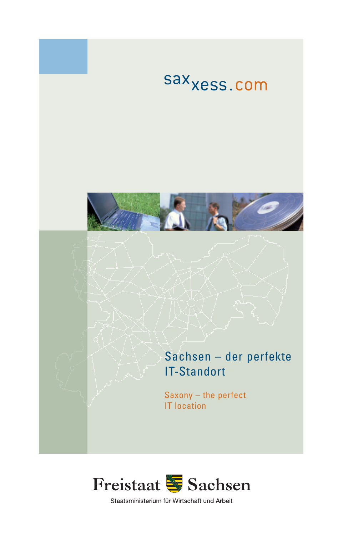

#### Sachsen – der perfekte IT-Standort

Saxony – the perfect IT location



Staatsministerium für Wirtschaft und Arbeit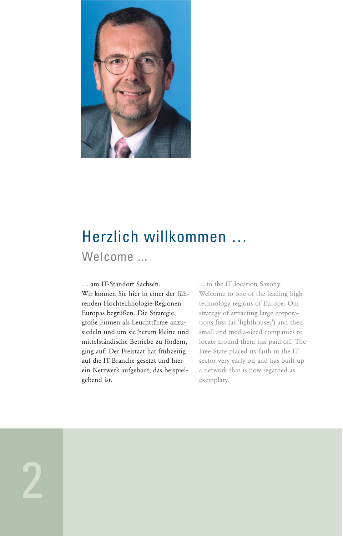

## Herzlich willkommen … Welcome ...

… am IT-Standort Sachsen. Wir können Sie hier in einer der führenden Hochtechnologie-Regionen Europas begrüßen. Die Strategie, große Firmen als Leuchttürme anzusiedeln und um sie herum kleine und mittelständische Betriebe zu fördern, ging auf. Der Freistaat hat frühzeitig auf die IT-Branche gesetzt und hier ein Netzwerk aufgebaut, das beispielgebend ist.

... to the IT location Saxony. Welcome to one of the leading hightechnology regions of Europe. Our strategy of attracting large corporations first (as 'lighthouses') and then small and media-sized companies to locate around them has paid off. The Free State placed its faith in the IT sector very early on and has built up a network that is now regarded as exemplary.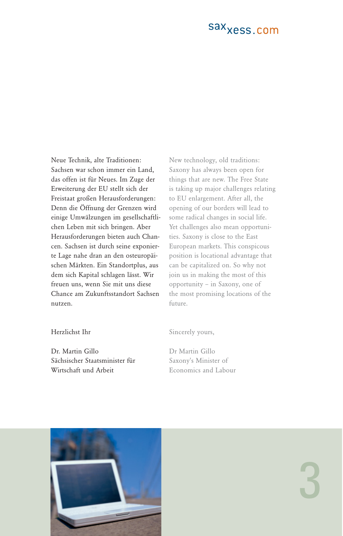Neue Technik, alte Traditionen: Sachsen war schon immer ein Land, das offen ist für Neues. Im Zuge der Erweiterung der EU stellt sich der Freistaat großen Herausforderungen: Denn die Öffnung der Grenzen wird einige Umwälzungen im gesellschaftlichen Leben mit sich bringen. Aber Herausforderungen bieten auch Chancen. Sachsen ist durch seine exponierte Lage nahe dran an den osteuropäischen Märkten. Ein Standortplus, aus dem sich Kapital schlagen lässt. Wir freuen uns, wenn Sie mit uns diese Chance am Zukunftsstandort Sachsen nutzen.

New technology, old traditions: Saxony has always been open for things that are new. The Free State is taking up major challenges relating to EU enlargement. After all, the opening of our borders will lead to some radical changes in social life. Yet challenges also mean opportunities. Saxony is close to the East European markets. This conspicous position is locational advantage that can be capitalized on. So why not join us in making the most of this opportunity – in Saxony, one of the most promising locations of the future.

#### Herzlichst Ihr

Dr. Martin Gillo Sächsischer Staatsminister für Wirtschaft und Arbeit

Sincerely yours,

Dr Martin Gillo Saxony's Minister of Economics and Labour

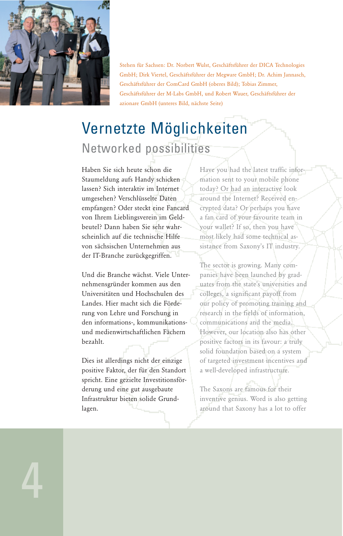

Stehen für Sachsen: Dr. Norbert Wulst, Geschäftsführer der DICA Technologies GmbH; Dirk Viertel, Geschäftsführer der Megware GmbH; Dr. Achim Jannasch, Geschäftsführer der ComCard GmbH (oberes Bild); Tobias Zimmer, Geschäftsführer der M-Labs GmbH, und Robert Wauer, Geschäftsführer der azionare GmbH (unteres Bild, nächste Seite)

## Vernetzte Möglichkeiten Networked possibilities

Haben Sie sich heute schon die Staumeldung aufs Handy schicken lassen? Sich interaktiv im Internet umgesehen? Verschlüsselte Daten empfangen? Oder steckt eine Fancard von Ihrem Lieblingsverein im Geldbeutel? Dann haben Sie sehr wahrscheinlich auf die technische Hilfe von sächsischen Unternehmen aus der IT-Branche zurückgegriffen.

Und die Branche wächst. Viele Unternehmensgründer kommen aus den Universitäten und Hochschulen des Landes. Hier macht sich die Förderung von Lehre und Forschung in den informations-, kommunikationsund medienwirtschaftlichen Fächern bezahlt.

Dies ist allerdings nicht der einzige positive Faktor, der für den Standort spricht. Eine gezielte Investitionsförderung und eine gut ausgebaute Infrastruktur bieten solide Grundlagen.

Have you had the latest traffic information sent to your mobile phone today? Or had an interactive look around the Internet? Received encrypted data? Or perhaps you have a fan card of your favourite team in your wallet? If so, then you have most likely had some technical assistance from Saxony's IT industry.

The sector is growing. Many companies have been launched by graduates from the state's universities and colleges, a significant payoff from our policy of promoting training and research in the fields of information, communications and the media. However, our location also has other positive factors in its favour: a truly solid foundation based on a system of targeted investment incentives and a well-developed infrastructure.

The Saxons are famous for their inventive genius. Word is also getting around that Saxony has a lot to offer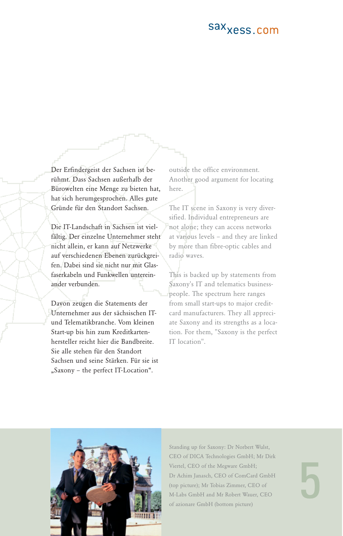Der Erfindergeist der Sachsen ist berühmt. Dass Sachsen außerhalb der Bürowelten eine Menge zu bieten hat, hat sich herumgesprochen. Alles gute Gründe für den Standort Sachsen.

Die IT-Landschaft in Sachsen ist vielfältig. Der einzelne Unternehmer steht nicht allein, er kann auf Netzwerke auf verschiedenen Ebenen zurückgreifen. Dabei sind sie nicht nur mit Glasfaserkabeln und Funkwellen untereinander verbunden.

Davon zeugen die Statements der Unternehmer aus der sächsischen ITund Telematikbranche. Vom kleinen Start-up bis hin zum Kreditkartenhersteller reicht hier die Bandbreite. Sie alle stehen für den Standort Sachsen und seine Stärken. Für sie ist "Saxony - the perfect IT-Location".

outside the office environment. Another good argument for locating here.

The IT scene in Saxony is very diversified. Individual entrepreneurs are not alone; they can access networks at various levels – and they are linked by more than fibre-optic cables and radio waves.

This is backed up by statements from Saxony's IT and telematics businesspeople. The spectrum here ranges from small start-ups to major creditcard manufacturers. They all appreciate Saxony and its strengths as a location. For them, "Saxony is the perfect IT location".



Standing up for Saxony: Dr Norbert Wulst, CEO of DICA Technologies GmbH; Mr Dirk Viertel, CEO of the Megware GmbH; Dr Achim Janasch, CEO of ComCard GmbH (top picture); Mr Tobias Zimmer, CEO of M-Labs GmbH and Mr Robert Wauer, CEO of azionare GmbH (bottom picture)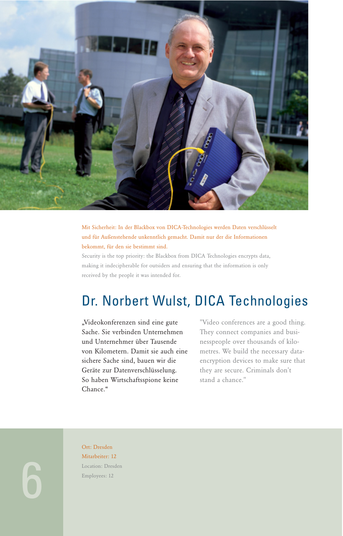

Mit Sicherheit: In der Blackbox von DICA-Technologies werden Daten verschlüsselt und für Außenstehende unkenntlich gemacht. Damit nur der die Informationen bekommt, für den sie bestimmt sind.

Security is the top priority: the Blackbox from DICA Technologies encrypts data, making it indecipherable for outsiders and ensuring that the information is only received by the people it was intended for.

### Dr. Norbert Wulst, DICA Technologies

"Videokonferenzen sind eine gute Sache. Sie verbinden Unternehmen und Unternehmer über Tausende von Kilometern. Damit sie auch eine sichere Sache sind, bauen wir die Geräte zur Datenverschlüsselung. So haben Wirtschaftsspione keine Chance."

"Video conferences are a good thing. They connect companies and businesspeople over thousands of kilometres. We build the necessary dataencryption devices to make sure that they are secure. Criminals don't stand a chance."

Ort: Dresden Mitarbeiter: 12 Location: Dresden Employees: 12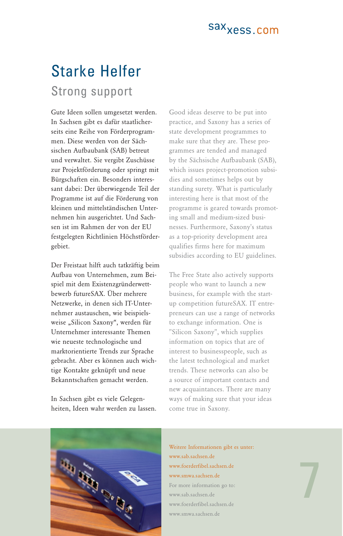### Starke Helfer Strong support

Gute Ideen sollen umgesetzt werden. In Sachsen gibt es dafür staatlicherseits eine Reihe von Förderprogrammen. Diese werden von der Sächsischen Aufbaubank (SAB) betreut und verwaltet. Sie vergibt Zuschüsse zur Projektförderung oder springt mit Bürgschaften ein. Besonders interessant dabei: Der überwiegende Teil der Programme ist auf die Förderung von kleinen und mittelständischen Unternehmen hin ausgerichtet. Und Sachsen ist im Rahmen der von der EU festgelegten Richtlinien Höchstfördergebiet.

Der Freistaat hilft auch tatkräftig beim Aufbau von Unternehmen, zum Beispiel mit dem Existenzgründerwettbewerb futureSAX. Über mehrere Netzwerke, in denen sich IT-Unternehmer austauschen, wie beispielsweise "Silicon Saxony", werden für Unternehmer interessante Themen wie neueste technologische und marktorientierte Trends zur Sprache gebracht. Aber es können auch wichtige Kontakte geknüpft und neue Bekanntschaften gemacht werden.

In Sachsen gibt es viele Gelegenheiten, Ideen wahr werden zu lassen.

Good ideas deserve to be put into practice, and Saxony has a series of state development programmes to make sure that they are. These programmes are tended and managed by the Sächsische Aufbaubank (SAB), which issues project-promotion subsidies and sometimes helps out by standing surety. What is particularly interesting here is that most of the programme is geared towards promoting small and medium-sized businesses. Furthermore, Saxony's status as a top-priority development area qualifies firms here for maximum subsidies according to EU guidelines.

The Free State also actively supports people who want to launch a new business, for example with the startup competition futureSAX. IT entrepreneurs can use a range of networks to exchange information. One is "Silicon Saxony", which supplies information on topics that are of interest to businesspeople, such as the latest technological and market trends. These networks can also be a source of important contacts and new acquaintances. There are many ways of making sure that your ideas come true in Saxony.



Weitere Informationen gibt es unter: www.sab.sachsen.de www.foerderfibel.sachsen.de www.smwa.sachsen.de For more information go to: www.sab.sachsen.de www.foerderfibel.sachsen.de www.smwa.sachsen.de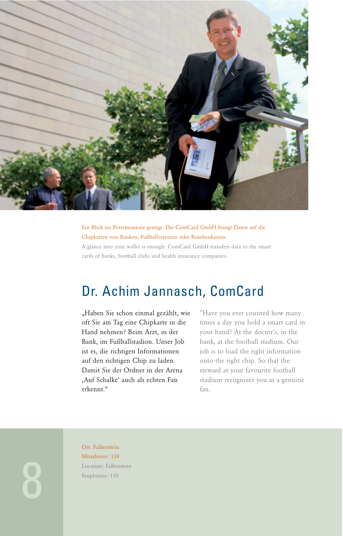

Ein Blick ins Portemonnaie genügt: Die ComCard GmbH bringt Daten auf die Chipkarten von Banken, Fußballvereinen oder Krankenkassen.

A glance into your wallet is enough: ComCard GmbH transfers data to the smart cards of banks, football clubs and health insurance companies.

### Dr. Achim Jannasch, ComCard

"Haben Sie schon einmal gezählt, wie oft Sie am Tag eine Chipkarte in die Hand nehmen? Beim Arzt, in der Bank, im Fußballstadion. Unser Job ist es, die richtigen Informationen auf den richtigen Chip zu laden. Damit Sie der Ordner in der Arena 'Auf Schalke' auch als echten Fan erkennt."

"Have you ever counted how many times a day you hold a smart card in your hand? At the doctor's, in the bank, at the football stadium. Our job is to load the right information onto the right chip. So that the steward at your favourite football stadium recognizes you as a genuine fan.

Ort: Falkenstein Mitarbeiter: 110 Location: Falkenstein Employees: 110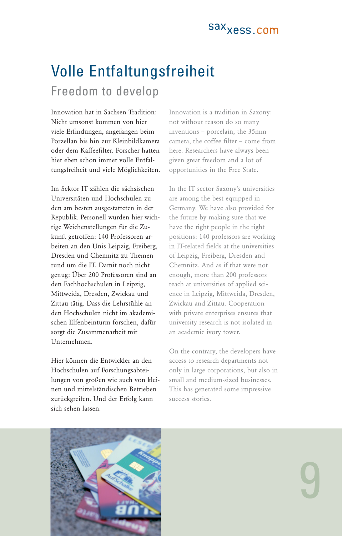# Volle Entfaltungsfreiheit

#### Freedom to develop

Innovation hat in Sachsen Tradition: Nicht umsonst kommen von hier viele Erfindungen, angefangen beim Porzellan bis hin zur Kleinbildkamera oder dem Kaffeefilter. Forscher hatten hier eben schon immer volle Entfaltungsfreiheit und viele Möglichkeiten.

Im Sektor IT zählen die sächsischen Universitäten und Hochschulen zu den am besten ausgestatteten in der Republik. Personell wurden hier wichtige Weichenstellungen für die Zukunft getroffen: 140 Professoren arbeiten an den Unis Leipzig, Freiberg, Dresden und Chemnitz zu Themen rund um die IT. Damit noch nicht genug: Über 200 Professoren sind an den Fachhochschulen in Leipzig, Mittweida, Dresden, Zwickau und Zittau tätig. Dass die Lehrstühle an den Hochschulen nicht im akademischen Elfenbeinturm forschen, dafür sorgt die Zusammenarbeit mit Unternehmen.

Hier können die Entwickler an den Hochschulen auf Forschungsabteilungen von großen wie auch von kleinen und mittelständischen Betrieben zurückgreifen. Und der Erfolg kann sich sehen lassen.

Innovation is a tradition in Saxony: not without reason do so many inventions – porcelain, the 35mm camera, the coffee filter – come from here. Researchers have always been given great freedom and a lot of opportunities in the Free State.

In the IT sector Saxony's universities are among the best equipped in Germany. We have also provided for the future by making sure that we have the right people in the right positions: 140 professors are working in IT-related fields at the universities of Leipzig, Freiberg, Dresden and Chemnitz. And as if that were not enough, more than 200 professors teach at universities of applied science in Leipzig, Mittweida, Dresden, Zwickau and Zittau. Cooperation with private enterprises ensures that university research is not isolated in an academic ivory tower.

On the contrary, the developers have access to research departments not only in large corporations, but also in small and medium-sized businesses. This has generated some impressive success stories.

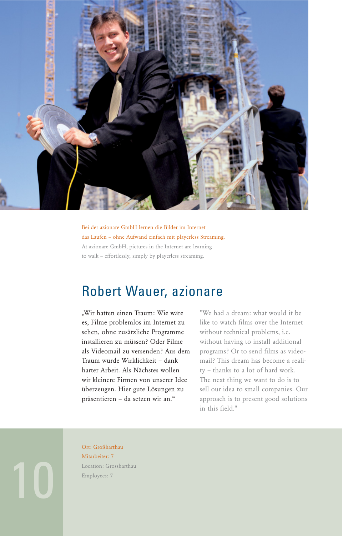

Bei der azionare GmbH lernen die Bilder im Internet das Laufen – ohne Aufwand einfach mit playerless Streaming. At azionare GmbH, pictures in the Internet are learning to walk – effortlessly, simply by playerless streaming.

#### Robert Wauer, azionare

"Wir hatten einen Traum: Wie wäre es, Filme problemlos im Internet zu sehen, ohne zusätzliche Programme installieren zu müssen? Oder Filme als Videomail zu versenden? Aus dem Traum wurde Wirklichkeit – dank harter Arbeit. Als Nächstes wollen wir kleinere Firmen von unserer Idee überzeugen. Hier gute Lösungen zu präsentieren – da setzen wir an."

"We had a dream: what would it be like to watch films over the Internet without technical problems, i.e. without having to install additional programs? Or to send films as videomail? This dream has become a reality – thanks to a lot of hard work. The next thing we want to do is to sell our idea to small companies. Our approach is to present good solutions in this field."

Ort: Großharthau Mitarbeiter: 7 Location: Grossharthau Employees: 7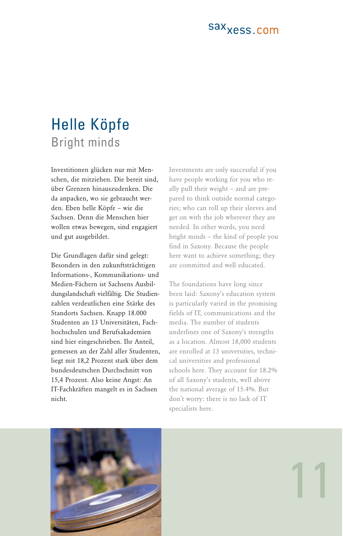### Helle Köpfe Bright minds

Investitionen glücken nur mit Menschen, die mitziehen. Die bereit sind, über Grenzen hinauszudenken. Die da anpacken, wo sie gebraucht werden. Eben helle Köpfe – wie die Sachsen. Denn die Menschen hier wollen etwas bewegen, sind engagiert und gut ausgebildet.

Die Grundlagen dafür sind gelegt: Besonders in den zukunftsträchtigen Informations-, Kommunikations- und Medien-Fächern ist Sachsens Ausbildungslandschaft vielfältig. Die Studienzahlen verdeutlichen eine Stärke des Standorts Sachsen. Knapp 18.000 Studenten an 13 Universitäten, Fachhochschulen und Berufsakademien sind hier eingeschrieben. Ihr Anteil, gemessen an der Zahl aller Studenten, liegt mit 18,2 Prozent stark über dem bundesdeutschen Durchschnitt von 15,4 Prozent. Also keine Angst: An IT-Fachkräften mangelt es in Sachsen nicht.

Investments are only successful if you have people working for you who really pull their weight – and are prepared to think outside normal categories; who can roll up their sleeves and get on with the job wherever they are needed. In other words, you need bright minds – the kind of people you find in Saxony. Because the people here want to achieve something; they are committed and well educated.

The foundations have long since been laid: Saxony's education system is particularly varied in the promising fields of IT, communications and the media. The number of students underlines one of Saxony's strengths as a location. Almost 18,000 students are enrolled at 13 universities, technical universities and professional schools here. They account for 18.2% of all Saxony's students, well above the national average of 15.4%. But don't worry: there is no lack of IT specialists here.

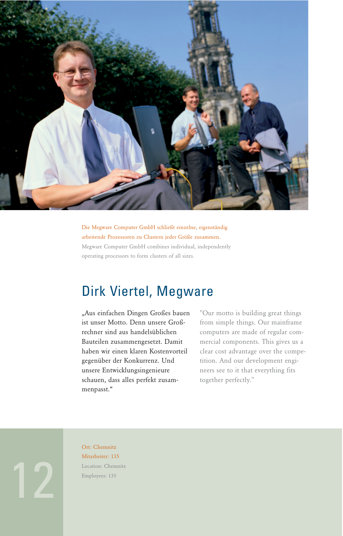

Die Megware Computer GmbH schließt einzelne, eigenständig arbeitende Prozessoren zu Clustern jeder Größe zusammen. Megware Computer GmbH combines individual, independently operating processors to form clusters of all sizes.

#### Dirk Viertel, Megware

"Aus einfachen Dingen Großes bauen ist unser Motto. Denn unsere Großrechner sind aus handelsüblichen Bauteilen zusammengesetzt. Damit haben wir einen klaren Kostenvorteil gegenüber der Konkurrenz. Und unsere Entwicklungsingenieure schauen, dass alles perfekt zusammenpasst."

"Our motto is building great things from simple things. Our mainframe computers are made of regular commercial components. This gives us a clear cost advantage over the competition. And our development engineers see to it that everything fits together perfectly."

Ort: Chemnitz Mitarbeiter: 135 Location: Chemnitz Employees: 135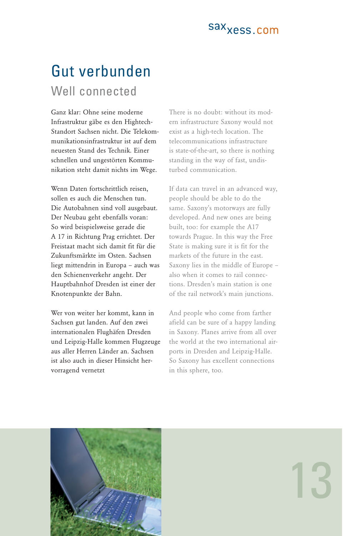## Gut verbunden Well connected

Ganz klar: Ohne seine moderne Infrastruktur gäbe es den Hightech-Standort Sachsen nicht. Die Telekommunikationsinfrastruktur ist auf dem neuesten Stand des Technik. Einer schnellen und ungestörten Kommunikation steht damit nichts im Wege.

Wenn Daten fortschrittlich reisen, sollen es auch die Menschen tun. Die Autobahnen sind voll ausgebaut. Der Neubau geht ebenfalls voran: So wird beispielsweise gerade die A 17 in Richtung Prag errichtet. Der Freistaat macht sich damit fit für die Zukunftsmärkte im Osten. Sachsen liegt mittendrin in Europa – auch was den Schienenverkehr angeht. Der Hauptbahnhof Dresden ist einer der Knotenpunkte der Bahn.

Wer von weiter her kommt, kann in Sachsen gut landen. Auf den zwei internationalen Flughäfen Dresden und Leipzig-Halle kommen Flugzeuge aus aller Herren Länder an. Sachsen ist also auch in dieser Hinsicht hervorragend vernetzt

There is no doubt: without its modern infrastructure Saxony would not exist as a high-tech location. The telecommunications infrastructure is state-of-the-art, so there is nothing standing in the way of fast, undisturbed communication.

If data can travel in an advanced way, people should be able to do the same. Saxony's motorways are fully developed. And new ones are being built, too: for example the A17 towards Prague. In this way the Free State is making sure it is fit for the markets of the future in the east. Saxony lies in the middle of Europe – also when it comes to rail connections. Dresden's main station is one of the rail network's main junctions.

And people who come from farther afield can be sure of a happy landing in Saxony. Planes arrive from all over the world at the two international airports in Dresden and Leipzig-Halle. So Saxony has excellent connections in this sphere, too.

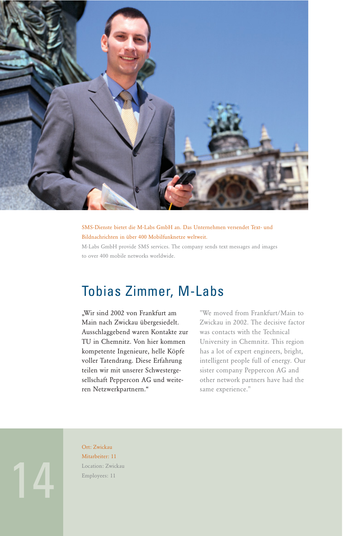

SMS-Dienste bietet die M-Labs GmbH an. Das Unternehmen versendet Text- und Bildnachrichten in über 400 Mobilfunknetze weltweit.

M-Labs GmbH provide SMS services. The company sends text messages and images to over 400 mobile networks worldwide.

#### Tobias Zimmer, M-Labs

"Wir sind 2002 von Frankfurt am Main nach Zwickau übergesiedelt. Ausschlaggebend waren Kontakte zur TU in Chemnitz. Von hier kommen kompetente Ingenieure, helle Köpfe voller Tatendrang. Diese Erfahrung teilen wir mit unserer Schwestergesellschaft Peppercon AG und weiteren Netzwerkpartnern."

"We moved from Frankfurt/Main to Zwickau in 2002. The decisive factor was contacts with the Technical University in Chemnitz. This region has a lot of expert engineers, bright, intelligent people full of energy. Our sister company Peppercon AG and other network partners have had the same experience."

14

Ort: Zwickau Mitarbeiter: 11 Location: Zwickau Employees: 11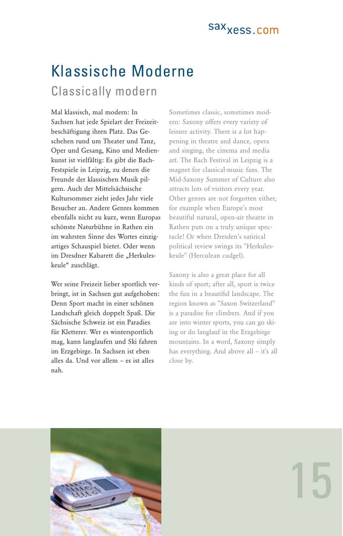# Klassische Moderne

#### Classically modern

Mal klassisch, mal modern: In Sachsen hat jede Spielart der Freizeitbeschäftigung ihren Platz. Das Geschehen rund um Theater und Tanz, Oper und Gesang, Kino und Medienkunst ist vielfältig: Es gibt die Bach-Festspiele in Leipzig, zu denen die Freunde der klassischen Musik pilgern. Auch der Mittelsächsische Kultursommer zieht jedes Jahr viele Besucher an. Andere Genres kommen ebenfalls nicht zu kurz, wenn Europas schönste Naturbühne in Rathen ein im wahrsten Sinne des Wortes einzigartiges Schauspiel bietet. Oder wenn im Dresdner Kabarett die "Herkuleskeule" zuschlägt.

Wer seine Freizeit lieber sportlich verbringt, ist in Sachsen gut aufgehoben: Denn Sport macht in einer schönen Landschaft gleich doppelt Spaß. Die Sächsische Schweiz ist ein Paradies für Kletterer. Wer es wintersportlich mag, kann langlaufen und Ski fahren im Erzgebirge. In Sachsen ist eben alles da. Und vor allem – es ist alles nah.

Sometimes classic, sometimes modern: Saxony offers every variety of leisure activity. There is a lot happening in theatre and dance, opera and singing, the cinema and media art. The Bach Festival in Leipzig is a magnet for classical-music fans. The Mid-Saxony Summer of Culture also attracts lots of visitors every year. Other genres are not forgotten either, for example when Europe's most beautiful natural, open-air theatre in Rathen puts on a truly unique spectacle! Or when Dresden's satirical political review swings its "Herkuleskeule" (Herculean cudgel).

Saxony is also a great place for all kinds of sport; after all, sport is twice the fun in a beautiful landscape. The region known as "Saxon Switzerland" is a paradise for climbers. And if you are into winter sports, you can go skiing or do langlauf in the Erzgebirge mountains. In a word, Saxony simply has everything. And above all – it's all close by.